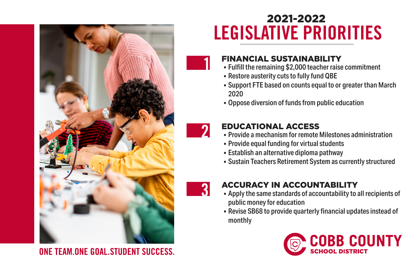

ONE TEAM ONE GOAL STUDENT SUCCESS.

## 2021-2022 **LEGISLATIVE PRIORITIES**



## FINANCIAL SUSTAINABILITY

- **1** Fulfill the remaining \$2,000 teacher raise commitment
- Restore austerity cuts to fully fund QBE
- Support FTE based on counts equal to or greater than March 2020
- Oppose diversion of funds from public education



## EDUCATIONAL ACCESS

- **2** Provide a mechanism for remote Milestones administration
- Provide equal funding for virtual students
- Establish an alternative diploma pathway
- Sustain Teachers Retirement System as currently structured



## ACCURACY IN ACCOUNTABILITY

- **3** Apply the same standards of accountability to all recipients of public money for education
- Revise SB68 to provide quarterly financial updates instead of monthly